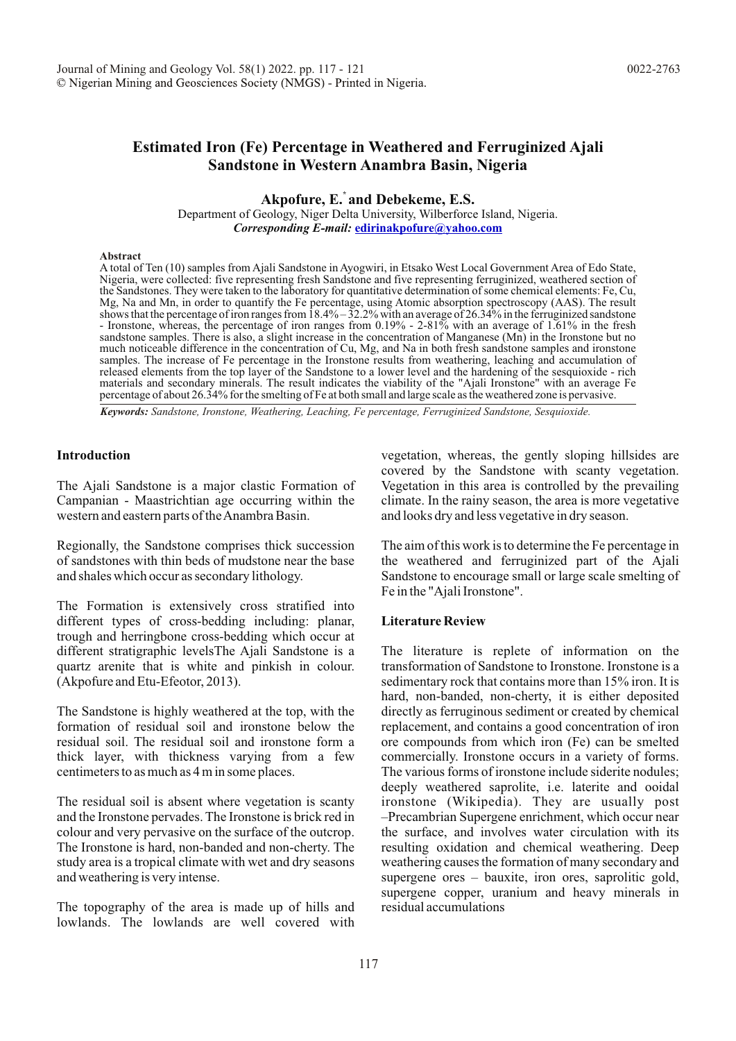# **Estimated Iron (Fe) Percentage in Weathered and Ferruginized Ajali Sandstone in Western Anambra Basin, Nigeria**

Akpofure, E. and Debekeme, E.S.

Department of Geology, Niger Delta University, Wilberforce Island, Nigeria. *Corresponding E-mail:* **edirinakpofure@yahoo.com**

#### **Abstract**

A total of Ten (10) samples from Ajali Sandstone in Ayogwiri, in Etsako West Local Government Area of Edo State, Nigeria, were collected: five representing fresh Sandstone and five representing ferruginized, weathered section of the Sandstones. They were taken to the laboratory for quantitative determination of some chemical elements: Fe, Cu, Mg, Na and Mn, in order to quantify the Fe percentage, using Atomic absorption spectroscopy (AAS). The result shows that the percentage of iron ranges from  $18.4\% - 32.2\%$  with an average of 26.34% in the ferruginized sandstone - Ironstone, whereas, the percentage of iron ranges from 0.19% - 2-81% with an average of 1.61% in the fresh sandstone samples. There is also, a slight increase in the concentration of Manganese (Mn) in the Ironstone but no much noticeable difference in the concentration of Cu, Mg, and Na in both fresh sandstone samples and ironstone samples. The increase of Fe percentage in the Ironstone results from weathering, leaching and accumulation of released elements from the top layer of the Sandstone to a lower level and the hardening of the sesquioxide - rich materials and secondary minerals. The result indicates the viability of the "Ajali Ironstone" with an average Fe percentage of about 26.34% for the smelting of Fe at both small and large scale as the weathered zone is pervasive.

*Keywords: Sandstone, Ironstone, Weathering, Leaching, Fe percentage, Ferruginized Sandstone, Sesquioxide.*

#### **Introduction**

The Ajali Sandstone is a major clastic Formation of Campanian - Maastrichtian age occurring within the western and eastern parts of the Anambra Basin.

Regionally, the Sandstone comprises thick succession of sandstones with thin beds of mudstone near the base and shales which occur as secondary lithology.

The Formation is extensively cross stratified into different types of cross-bedding including: planar, trough and herringbone cross-bedding which occur at different stratigraphic levelsThe Ajali Sandstone is a quartz arenite that is white and pinkish in colour. (Akpofure and Etu-Efeotor, 2013).

The Sandstone is highly weathered at the top, with the formation of residual soil and ironstone below the residual soil. The residual soil and ironstone form a thick layer, with thickness varying from a few centimeters to as much as 4 m in some places.

The residual soil is absent where vegetation is scanty and the Ironstone pervades. The Ironstone is brick red in colour and very pervasive on the surface of the outcrop. The Ironstone is hard, non-banded and non-cherty. The study area is a tropical climate with wet and dry seasons and weathering is very intense.

The topography of the area is made up of hills and lowlands. The lowlands are well covered with vegetation, whereas, the gently sloping hillsides are covered by the Sandstone with scanty vegetation. Vegetation in this area is controlled by the prevailing climate. In the rainy season, the area is more vegetative and looks dry and less vegetative in dry season.

The aim of this work is to determine the Fe percentage in the weathered and ferruginized part of the Ajali Sandstone to encourage small or large scale smelting of Fe in the "Ajali Ironstone".

#### **Literature Review**

The literature is replete of information on the transformation of Sandstone to Ironstone. Ironstone is a sedimentary rock that contains more than 15% iron. It is hard, non-banded, non-cherty, it is either deposited directly as ferruginous sediment or created by chemical replacement, and contains a good concentration of iron ore compounds from which iron (Fe) can be smelted commercially. Ironstone occurs in a variety of forms. The various forms of ironstone include siderite nodules; deeply weathered saprolite, i.e. laterite and ooidal ironstone (Wikipedia). They are usually post –Precambrian Supergene enrichment, which occur near the surface, and involves water circulation with its resulting oxidation and chemical weathering. Deep weathering causes the formation of many secondary and supergene ores – bauxite, iron ores, saprolitic gold, supergene copper, uranium and heavy minerals in residual accumulations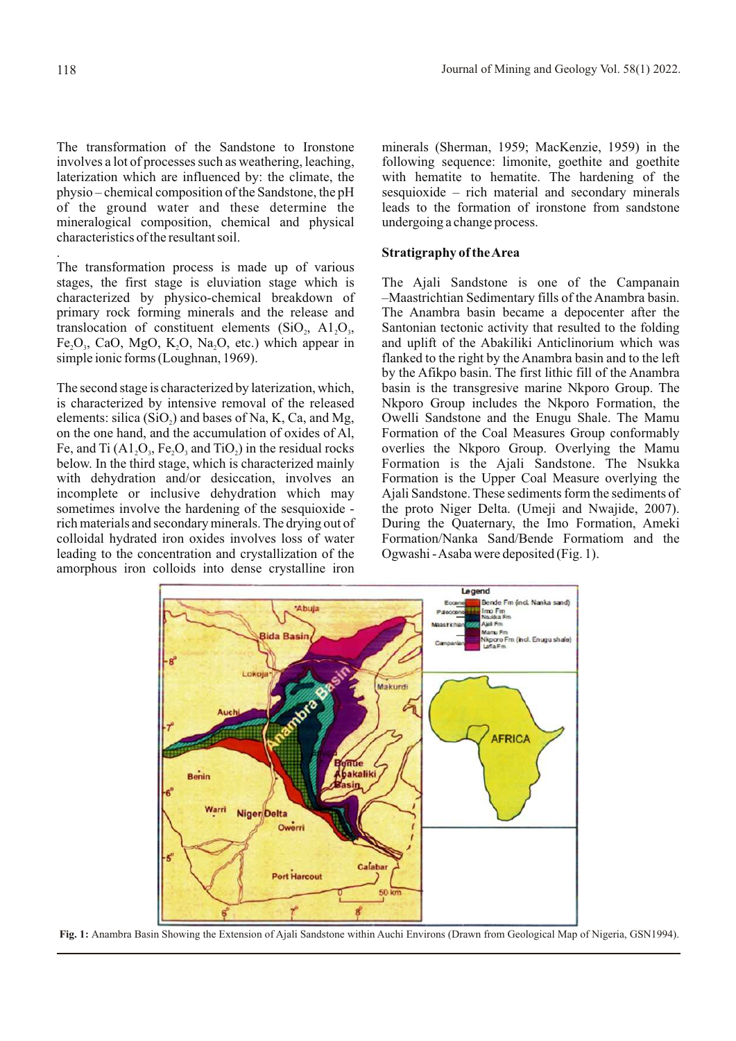.

The transformation of the Sandstone to Ironstone involves a lot of processes such as weathering, leaching, laterization which are influenced by: the climate, the physio – chemical composition of the Sandstone, the pH of the ground water and these determine the mineralogical composition, chemical and physical characteristics of the resultant soil.

The transformation process is made up of various stages, the first stage is eluviation stage which is characterized by physico-chemical breakdown of primary rock forming minerals and the release and translocation of constituent elements  $(SiO<sub>2</sub>, A1<sub>2</sub>O<sub>3</sub>)$ Fe, O<sub>3</sub>, CaO, MgO, K<sub>2</sub>O, Na<sub>2</sub>O, etc.) which appear in simple ionic forms (Loughnan, 1969).

The second stage is characterized by laterization, which, is characterized by intensive removal of the released elements: silica  $(SiO<sub>2</sub>)$  and bases of Na, K, Ca, and Mg, on the one hand, and the accumulation of oxides of Al, Fe, and Ti  $(A1<sub>2</sub>O<sub>3</sub>, Fe<sub>2</sub>O<sub>3</sub>$  and TiO<sub>2</sub>) in the residual rocks below. In the third stage, which is characterized mainly with dehydration and/or desiccation, involves an incomplete or inclusive dehydration which may sometimes involve the hardening of the sesquioxide rich materials and secondary minerals. The drying out of colloidal hydrated iron oxides involves loss of water leading to the concentration and crystallization of the amorphous iron colloids into dense crystalline iron minerals (Sherman, 1959; MacKenzie, 1959) in the following sequence: limonite, goethite and goethite with hematite to hematite. The hardening of the sesquioxide – rich material and secondary minerals leads to the formation of ironstone from sandstone undergoing a change process.

#### **Stratigraphy of the Area**

The Ajali Sandstone is one of the Campanain –Maastrichtian Sedimentary fills of the Anambra basin. The Anambra basin became a depocenter after the Santonian tectonic activity that resulted to the folding and uplift of the Abakiliki Anticlinorium which was flanked to the right by the Anambra basin and to the left by the Afikpo basin. The first lithic fill of the Anambra basin is the transgresive marine Nkporo Group. The Nkporo Group includes the Nkporo Formation, the Owelli Sandstone and the Enugu Shale. The Mamu Formation of the Coal Measures Group conformably overlies the Nkporo Group. Overlying the Mamu Formation is the Ajali Sandstone. The Nsukka Formation is the Upper Coal Measure overlying the Ajali Sandstone. These sediments form the sediments of the proto Niger Delta. (Umeji and Nwajide, 2007). During the Quaternary, the Imo Formation, Ameki Formation/Nanka Sand/Bende Formatiom and the Ogwashi - Asaba were deposited (Fig. 1).



**Fig. 1:** Anambra Basin Showing the Extension of Ajali Sandstone within Auchi Environs (Drawn from Geological Map of Nigeria, GSN1994).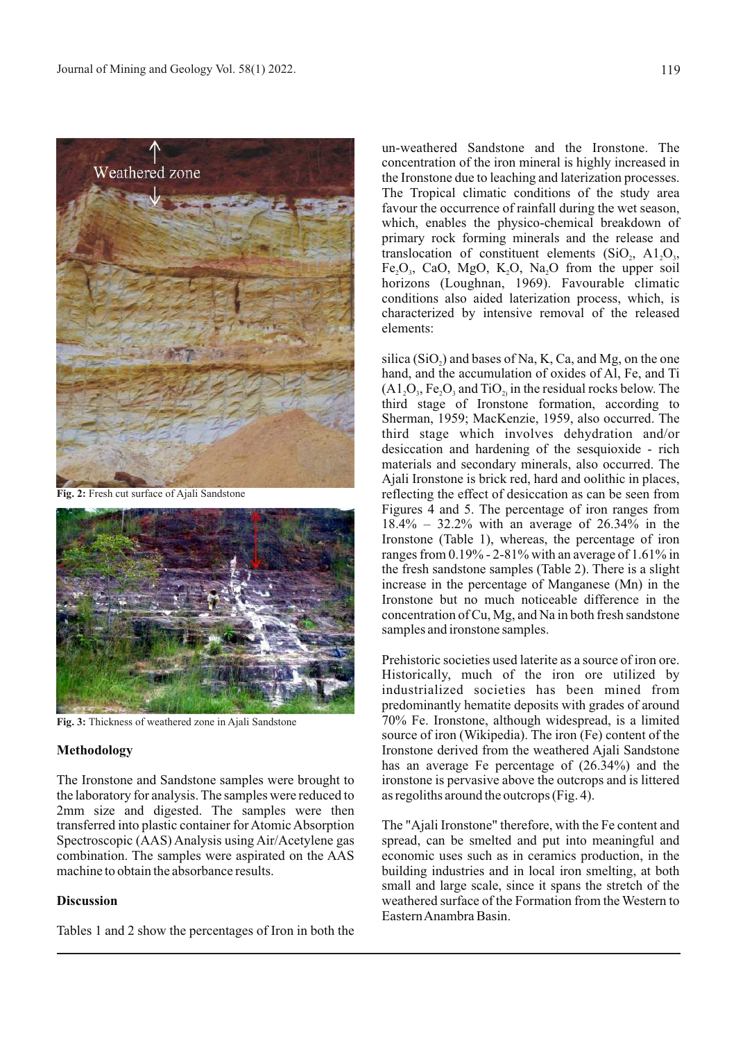

**Fig. 2:** Fresh cut surface of Ajali Sandstone



**Fig. 3:** Thickness of weathered zone in Ajali Sandstone

### **Methodology**

The Ironstone and Sandstone samples were brought to the laboratory for analysis. The samples were reduced to 2mm size and digested. The samples were then transferred into plastic container for Atomic Absorption Spectroscopic (AAS) Analysis using Air/Acetylene gas combination. The samples were aspirated on the AAS machine to obtain the absorbance results.

### **Discussion**

Tables 1 and 2 show the percentages of Iron in both the

un-weathered Sandstone and the Ironstone. The concentration of the iron mineral is highly increased in the Ironstone due to leaching and laterization processes. The Tropical climatic conditions of the study area favour the occurrence of rainfall during the wet season, which, enables the physico-chemical breakdown of primary rock forming minerals and the release and translocation of constituent elements  $(SiO_2, A1,O_3, A2,O_4)$ Fe, O<sub>3</sub>, CaO, MgO, K<sub>2</sub>O, Na<sub>2</sub>O from the upper soil horizons (Loughnan, 1969). Favourable climatic conditions also aided laterization process, which, is characterized by intensive removal of the released elements:

silica (SiO<sub>2</sub>) and bases of Na, K, Ca, and Mg, on the one hand, and the accumulation of oxides of Al, Fe, and Ti  $(A1, O<sub>3</sub>, Fe<sub>2</sub>O<sub>3</sub>$  and TiO<sub>2</sub> in the residual rocks below. The third stage of Ironstone formation, according to Sherman, 1959; MacKenzie, 1959, also occurred. The third stage which involves dehydration and/or desiccation and hardening of the sesquioxide - rich materials and secondary minerals, also occurred. The Ajali Ironstone is brick red, hard and oolithic in places, reflecting the effect of desiccation as can be seen from Figures 4 and 5. The percentage of iron ranges from  $18.4\% - 32.2\%$  with an average of 26.34% in the Ironstone (Table 1), whereas, the percentage of iron ranges from 0.19% - 2-81% with an average of 1.61% in the fresh sandstone samples (Table 2). There is a slight increase in the percentage of Manganese (Mn) in the Ironstone but no much noticeable difference in the concentration of Cu, Mg, and Na in both fresh sandstone samples and ironstone samples.

Prehistoric societies used laterite as a source of iron ore. Historically, much of the iron ore utilized by industrialized societies has been mined from predominantly hematite deposits with grades of around 70% Fe. Ironstone, although widespread, is a limited source of iron (Wikipedia). The iron (Fe) content of the Ironstone derived from the weathered Ajali Sandstone has an average Fe percentage of (26.34%) and the ironstone is pervasive above the outcrops and is littered as regoliths around the outcrops (Fig. 4).

The "Ajali Ironstone" therefore, with the Fe content and spread, can be smelted and put into meaningful and economic uses such as in ceramics production, in the building industries and in local iron smelting, at both small and large scale, since it spans the stretch of the weathered surface of the Formation from the Western to Eastern Anambra Basin.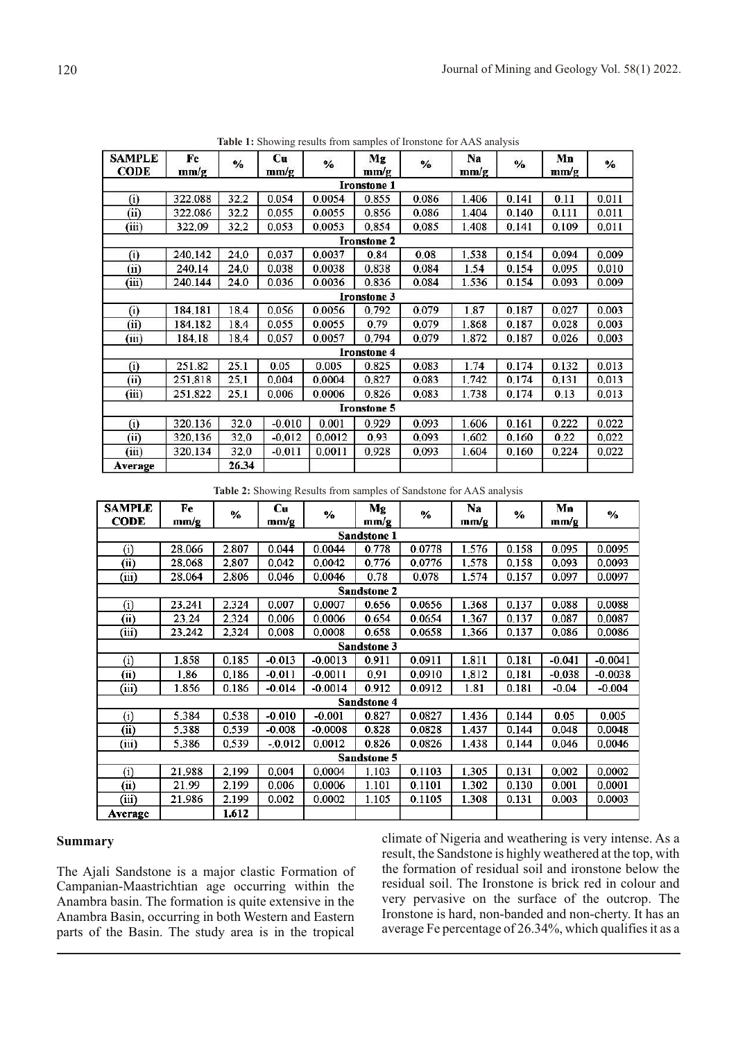| <b>SAMPLE</b><br><b>CODE</b> | Fe<br>mm/g | $\%$  | Cu<br>mm/g | $\%$   | Mg<br>mm/g         | $\%$  | Na<br>mm/g | $\frac{0}{6}$ | Mn<br>mm/g | $\%$  |  |  |
|------------------------------|------------|-------|------------|--------|--------------------|-------|------------|---------------|------------|-------|--|--|
| <b>Ironstone 1</b>           |            |       |            |        |                    |       |            |               |            |       |  |  |
| (i)                          | 322.088    | 32.2  | 0.054      | 0.0054 | 0.855              | 0.086 | 1.406      | 0.141         | 0.11       | 0.011 |  |  |
| (ii)                         | 322.086    | 32.2  | 0.055      | 0.0055 | 0.856              | 0.086 | 1.404      | 0.140         | 0.111      | 0.011 |  |  |
| (iii)                        | 322.09     | 32.2  | 0.053      | 0.0053 | 0.854              | 0.085 | 1.408      | 0.141         | 0.109      | 0.011 |  |  |
| <b>Ironstone 2</b>           |            |       |            |        |                    |       |            |               |            |       |  |  |
| (i)                          | 240.142    | 24.0  | 0.037      | 0.0037 | 0.84               | 0.08  | 1.538      | 0.154         | 0.094      | 0.009 |  |  |
| (ii)                         | 240.14     | 24.0  | 0.038      | 0.0038 | 0.838              | 0.084 | 1.54       | 0.154         | 0.095      | 0.010 |  |  |
| (iii)                        | 240.144    | 24.0  | 0.036      | 0.0036 | 0.836              | 0.084 | 1.536      | 0.154         | 0.093      | 0.009 |  |  |
| <b>Ironstone 3</b>           |            |       |            |        |                    |       |            |               |            |       |  |  |
| (i)                          | 184.181    | 18.4  | 0.056      | 0.0056 | 0.792              | 0.079 | 1.87       | 0.187         | 0.027      | 0.003 |  |  |
| (ii)                         | 184.182    | 18.4  | 0.055      | 0.0055 | 0.79               | 0.079 | 1.868      | 0.187         | 0.028      | 0.003 |  |  |
| (iii)                        | 184.18     | 18.4  | 0.057      | 0.0057 | 0.794              | 0.079 | 1.872      | 0.187         | 0.026      | 0.003 |  |  |
|                              |            |       |            |        | <b>Ironstone 4</b> |       |            |               |            |       |  |  |
| (i)                          | 251.82     | 25.1  | 0.05       | 0.005  | 0.825              | 0.083 | 1.74       | 0.174         | 0.132      | 0.013 |  |  |
| (i)                          | 251,818    | 25.1  | 0.004      | 0.0004 | 0.827              | 0.083 | 1.742      | 0.174         | 0.131      | 0.013 |  |  |
| (iii)                        | 251.822    | 25.1  | 0.006      | 0.0006 | 0.826              | 0.083 | 1.738      | 0.174         | 0.13       | 0.013 |  |  |
| <b>Ironstone 5</b>           |            |       |            |        |                    |       |            |               |            |       |  |  |
| (i)                          | 320.136    | 32.0  | $-0.010$   | 0.001  | 0.929              | 0.093 | 1.606      | 0.161         | 0.222      | 0.022 |  |  |
| (ii)                         | 320,136    | 32,0  | $-0.012$   | 0.0012 | 0.93               | 0.093 | 1,602      | 0.160         | 0.22       | 0.022 |  |  |
| (iii)                        | 320.134    | 32.0  | $-0.011$   | 0.0011 | 0.928              | 0.093 | 1.604      | 0.160         | 0.224      | 0.022 |  |  |
| Average                      |            | 26.34 |            |        |                    |       |            |               |            |       |  |  |

**Table 1:** Showing results from samples of Ironstone for AAS analysis

**Table 2:** Showing Results from samples of Sandstone for AAS analysis

| <b>SAMPLE</b><br>CODE | Fe<br>mm/g | %     | Cu<br>mm/g | %         | Mg<br>mm/g | %      | Na<br>mm/g | %     | Mn<br>mm/g | %         |  |
|-----------------------|------------|-------|------------|-----------|------------|--------|------------|-------|------------|-----------|--|
| <b>Sandstone 1</b>    |            |       |            |           |            |        |            |       |            |           |  |
| (i)                   | 28.066     | 2.807 | 0.044      | 0.0044    | 0.778      | 0.0778 | 1.576      | 0.158 | 0.095      | 0.0095    |  |
| (ii)                  | 28.068     | 2.807 | 0.042      | 0.0042    | 0.776      | 0.0776 | 1.578      | 0.158 | 0.093      | 0.0093    |  |
| (iii)                 | 28.064     | 2.806 | 0.046      | 0.0046    | 0.78       | 0.078  | 1.574      | 0.157 | 0.097      | 0.0097    |  |
| <b>Sandstone 2</b>    |            |       |            |           |            |        |            |       |            |           |  |
| (i)                   | 23.241     | 2.324 | 0.007      | 0.0007    | 0.656      | 0.0656 | 1.368      | 0.137 | 0.088      | 0.0088    |  |
| (ii)                  | 23.24      | 2,324 | 0.006      | 0.0006    | 0.654      | 0.0654 | 1.367      | 0.137 | 0.087      | 0.0087    |  |
| (iii)                 | 23.242     | 2,324 | 0.008      | 0.0008    | 0.658      | 0.0658 | 1.366      | 0.137 | 0.086      | 0.0086    |  |
| <b>Sandstone 3</b>    |            |       |            |           |            |        |            |       |            |           |  |
| (i)                   | 1.858      | 0.185 | $-0.013$   | $-0.0013$ | 0.911      | 0.0911 | 1.811      | 0.181 | $-0.041$   | $-0.0041$ |  |
| (ii)                  | 1.86       | 0.186 | $-0.011$   | $-0.0011$ | 0.91       | 0.0910 | 1.812      | 0.181 | $-0.038$   | $-0.0038$ |  |
| (iii)                 | 1.856      | 0.186 | $-0.014$   | $-0.0014$ | 0.912      | 0.0912 | 1.81       | 0.181 | $-0.04$    | $-0.004$  |  |
| <b>Sandstone 4</b>    |            |       |            |           |            |        |            |       |            |           |  |
| (i)                   | 5.384      | 0.538 | $-0.010$   | $-0.001$  | 0.827      | 0.0827 | 1.436      | 0.144 | 0.05       | 0.005     |  |
| (ii)                  | 5.388      | 0.539 | $-0.008$   | $-0.0008$ | 0.828      | 0.0828 | 1.437      | 0.144 | 0.048      | 0.0048    |  |
| (iii)                 | 5.386      | 0.539 | $-0.012$   | 0.0012    | 0.826      | 0.0826 | 1.438      | 0.144 | 0.046      | 0.0046    |  |
| Sandstone 5           |            |       |            |           |            |        |            |       |            |           |  |
| (i)                   | 21.988     | 2.199 | 0.004      | 0.0004    | 1.103      | 0.1103 | 1.305      | 0.131 | 0.002      | 0.0002    |  |
| (ii)                  | 21.99      | 2.199 | 0.006      | 0.0006    | 1.101      | 0.1101 | 1.302      | 0.130 | 0.001      | 0.0001    |  |
| (iii)                 | 21.986     | 2.199 | 0.002      | 0.0002    | 1.105      | 0.1105 | 1.308      | 0.131 | 0.003      | 0.0003    |  |
| Average               |            | 1.612 |            |           |            |        |            |       |            |           |  |

#### **Summary**

The Ajali Sandstone is a major clastic Formation of Campanian-Maastrichtian age occurring within the Anambra basin. The formation is quite extensive in the Anambra Basin, occurring in both Western and Eastern parts of the Basin. The study area is in the tropical climate of Nigeria and weathering is very intense. As a result, the Sandstone is highly weathered at the top, with the formation of residual soil and ironstone below the residual soil. The Ironstone is brick red in colour and very pervasive on the surface of the outcrop. The Ironstone is hard, non-banded and non-cherty. It has an average Fe percentage of 26.34%, which qualifies it as a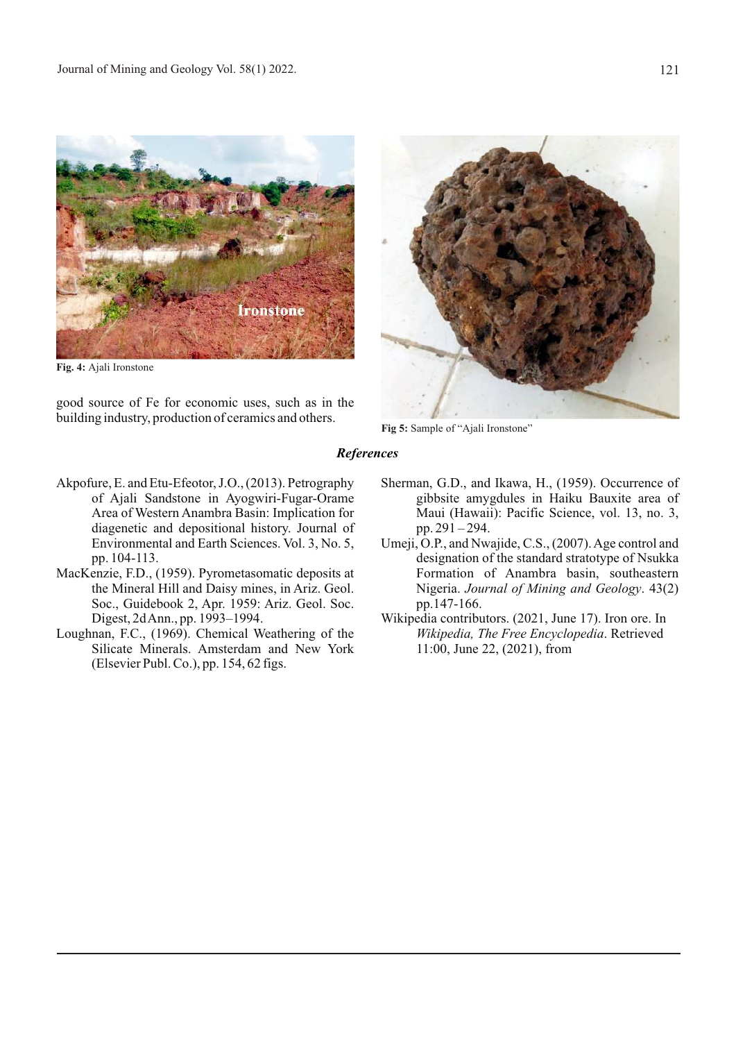

**Fig. 4:** Ajali Ironstone

good source of Fe for economic uses, such as in the building industry, production of ceramics and others.



Fig 5: Sample of "Ajali Ironstone"

## *References*

- Akpofure, E. and Etu-Efeotor, J.O., (2013). Petrography of Ajali Sandstone in Ayogwiri-Fugar-Orame Area of Western Anambra Basin: Implication for diagenetic and depositional history. Journal of Environmental and Earth Sciences. Vol. 3, No. 5, pp. 104-113.
- MacKenzie, F.D., (1959). Pyrometasomatic deposits at the Mineral Hill and Daisy mines, in Ariz. Geol. Soc., Guidebook 2, Apr. 1959: Ariz. Geol. Soc. Digest, 2d Ann., pp. 1993–1994.
- Loughnan, F.C., (1969). Chemical Weathering of the Silicate Minerals. Amsterdam and New York (Elsevier Publ. Co.), pp. 154, 62 figs.
- Sherman, G.D., and Ikawa, H., (1959). Occurrence of gibbsite amygdules in Haiku Bauxite area of Maui (Hawaii): Pacific Science, vol. 13, no. 3, pp. 291 – 294.
- Umeji, O.P., and Nwajide, C.S., (2007). Age control and designation of the standard stratotype of Nsukka Formation of Anambra basin, southeastern Nigeria. *Journal of Mining and Geology*. 43(2) pp.147-166.
- Wikipedia contributors. (2021, June 17). Iron ore. In *Wikipedia, The Free Encyclopedia*. Retrieved 11:00, June 22, (2021), from